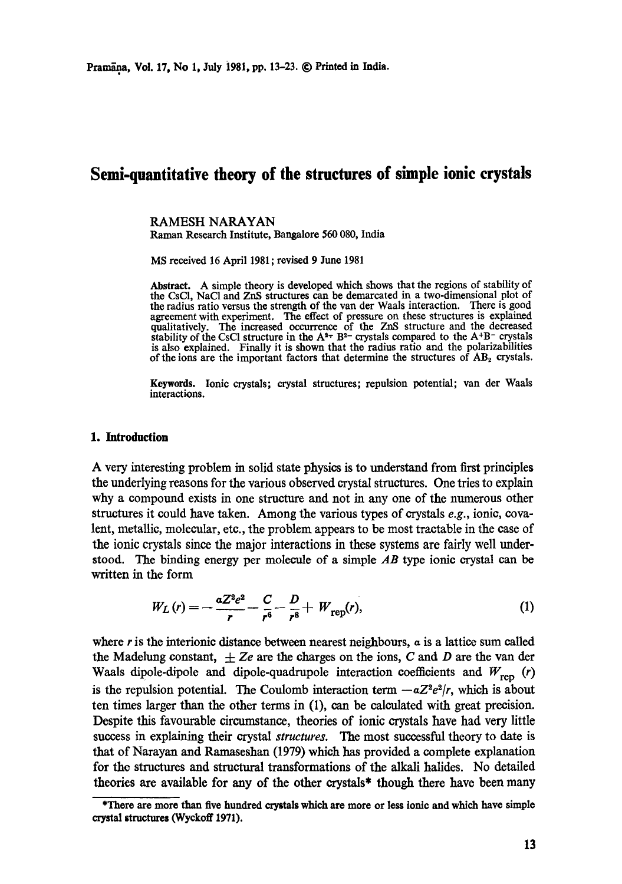# **Semi-quantitative theory of the structures of simple ionic crystals**

RAMESH NARAYAN Raman Research Institute, Bangalore 560 080, India

MS received 16 April 1981 ; revised 9 June 1981

**Abstract.** A simple theory is developed which shows that the regions of stability of the CsCI, NaC1 and ZnS structures can be demarcated in a two-dimensional plot of **the** radius ratio versus the strength of the van der Waals interaction. There is good agreement with experiment. The effect of pressure on these structures is explained qualitatively. The increased occurrence of **the** ZnS structure and the decreased stability of the CsCl structure in the  $A^{2+}B^{2-}$  crystals compared to the  $A^{+}B^{-}$  crystals is also explained. Finally it is shown that the radius ratio and the polarizabilities of the ions are the important factors that determine the structures of  $AB<sub>2</sub>$  crystals.

**Keywords.** Ionic crystals; crystal structures; repulsion potential; van der Waals interactions.

#### **1. Introduction**

A very interesting problem in solid state physics is to understand from first principles the underlying reasons for the various observed crystal structures. One tries to explain why a compound exists in one structure and not in any one of the numerous other structures it could have taken. Among the various types of crystals *e.g.,* ionic, covalent, metallic, molecular, etc., the problem appears to be most tractable in the case of the ionic crystals since the major interactions in these systems are fairly well understood. The binding energy per molecule of a simple *AB* type ionic crystal can be written in the form

$$
W_L(r) = -\frac{aZ^2e^2}{r} - \frac{C}{r^6} - \frac{D}{r^8} + W_{\text{rep}}(r),
$$
 (1)

where r is the interionic distance between nearest neighbours,  $\alpha$  is a lattice sum called the Madelung constant,  $\pm Ze$  are the charges on the ions, C and D are the van der Waals dipole-dipole and dipole-quadrupole interaction coefficients and  $W_{ren}$  (r) is the repulsion potential. The Coulomb interaction term  $-aZ^2e^2/r$ , which is about ten times larger than the other terms in (1), can be calculated with great precision. Despite this favourable circumstance, theories of ionic crystals have had very little success in explaining their crystal *structures.* The most successful theory to date is that of Narayan and Ramaseshan (1979) which has provided a complete explanation for the structures and structural transformations of the alkali halides. No detailed theories are available for any of the other crystals\* though there have been many

<sup>\*</sup>There are more than five hundred crystals which are more or less ionic and which have simple **crystal structures (Wyckoff 1971).**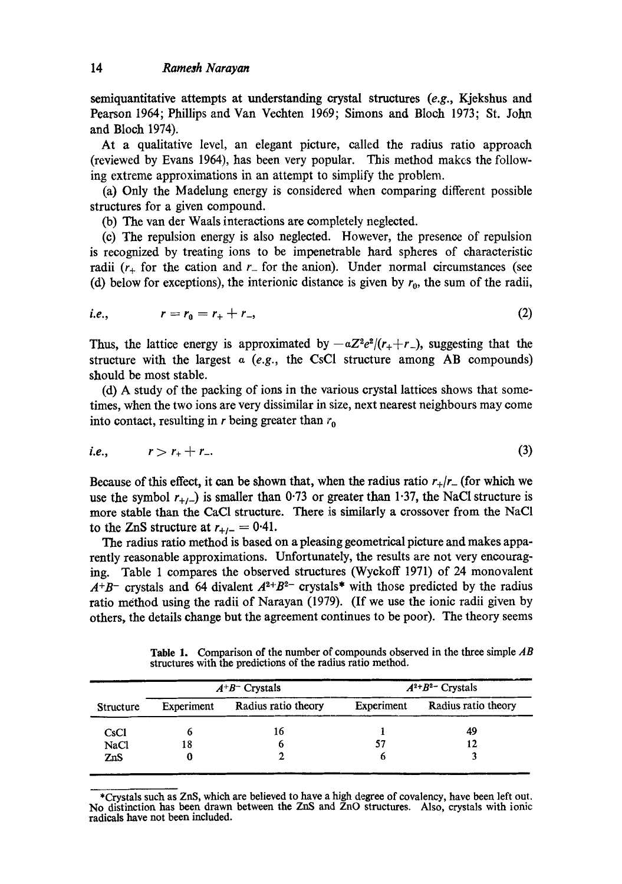semiquantitative attempts at understanding crystal structures *(e.g.,* Kjekshus and Pearson 1964; Phillips and Van Vechten 1969; Simons and Bloch 1973; St. John and Bloch 1974).

At a qualitative level, an elegant picture, called the radius ratio approach (reviewed by Evans 1964), has been very popular. This method mak¢s the following extreme approximations in an attempt to simplify the problem.

(a) Only the Madelung energy is considered when comparing different possible structures for a given compound.

(b) The van der Waals interactions are completely neglected.

(c) The repulsion energy is also neglected. However, the presence of repulsion is recognized by treating ions to be impenetrable hard spheres of characteristic radii  $(r_{+}$  for the cation and  $r_{-}$  for the anion). Under normal circumstances (see (d) below for exceptions), the interionic distance is given by  $r_0$ , the sum of the radii,

i.e., 
$$
r = r_0 = r_+ + r_-,
$$
 (2)

Thus, the lattice energy is approximated by  $-\alpha Z^2e^2/(r_++r_-)$ , suggesting that the structure with the largest a *(e.g.,* the CsC1 structure among AB compounds) should be most stable.

(d) A study of the packing of ions in the various crystal lattices shows that sometimes, when the two ions are very dissimilar in size, next nearest neighbours may come into contact, resulting in r being greater than  $r_0$ 

$$
i.e., \t r > r_+ + r_-. \t(3)
$$

Because of this effect, it can be shown that, when the radius ratio  $r_{+}/r_{-}$  (for which we use the symbol  $r_{+/-}$ ) is smaller than 0.73 or greater than 1.37, the NaCl structure is more stable than the CaC1 structure. There is similarly a crossover from the NaCI to the ZnS structure at  $r_{+t-} = 0.41$ .

The radius ratio method is based on a pleasing geometrical picture and makes apparently reasonable approximations. Unfortunately, the results are not very encouraging. Table 1 compares the observed structures (Wyckoff 1971) of 24 monovalent  $A^{+}B^{-}$  crystals and 64 divalent  $A^{2+}B^{2-}$  crystals<sup>\*</sup> with those predicted by the radius ratio method using the radii of Narayan (1979). (If we use the ionic radii given by others, the details change but the agreement continues to be poor). The theory seems

**Table** 1. Comparison of the number of compounds observed in the three simple *AB*  structures with the predictions of the radius ratio method.

| Structure   | $A^{+}B^{-}$ Crystals |                     | $A^{2+}B^{2-}$ Crystals |                     |
|-------------|-----------------------|---------------------|-------------------------|---------------------|
|             | Experiment            | Radius ratio theory | Experiment              | Radius ratio theory |
| CsCl        |                       | 16                  |                         | 49                  |
| <b>NaCl</b> | 18                    | o                   | 57                      |                     |
| ZnS         | U                     |                     | o                       |                     |

\*Crystals such as ZnS, which are believed to have a high degree of covalency, have been left out. No distinction has been drawn between the ZnS and ZnO structures. Also, crystals with ionic radicals have not been included.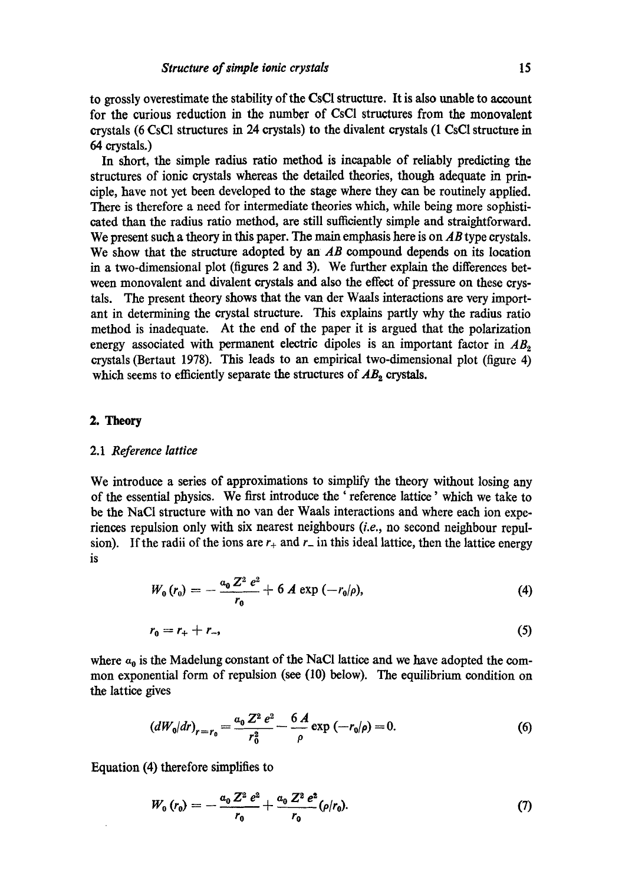to grossly overestimate the stability of the CsCl structure. It is also unable to account for the curious reduction in the number of CsCI structures from the monovalent crystals (6 CsC1 structures in 24 crystals) to the divalent crystals (1 CsC1 structure in 64 crystals.)

In short, the simple radius ratio method is incapable of reliably predicting the structures of ionic crystals whereas the detailed theories, though adequate in principle, have not yet been developed to the stage where they can be routinely applied. There is therefore a need for intermediate theories which, while being more sophisticated than the radius ratio method, are still sufficiently simple and straightforward. We present such a theory in this paper. The main emphasis here is on *AB* type crystals. We show that the structure adopted by an *AB* compound depends on its location in a two-dimensional plot (figures 2 and 3). We further explain the differences between monovalent and divalent crystals and also the effect of pressure on these crystals. The present theory shows that the van der Waals interactions are very important in determining the crystal structure. This explains partly why the radius ratio method is inadequate. At the end of the paper it is argued that the polarization energy associated with permanent electric dipoles is an important factor in  $AB<sub>o</sub>$ crystals (Bertaut 1978). This leads to an empirical two-dimensional plot (figure 4) which seems to efficiently separate the structures of  $AB<sub>2</sub>$  crystals.

## *2. Theory*

#### 2.1 *Reference lattice*

We introduce a series of approximations to simplify the theory without losing any of the essential physics. We first introduce the ' reference lattice' which we take to be the NaCI structure with no van der Waals interactions and where each ion experiences repulsion only with six nearest neighbours *(i.e.,* no second neighbour repulsion). If the radii of the ions are  $r_+$  and  $r_-$  in this ideal lattice, then the lattice energy is

$$
W_0(r_0) = -\frac{a_0 Z^2 e^2}{r_0} + 6 A \exp(-r_0/\rho), \qquad (4)
$$

$$
r_0=r_+ + r_-, \tag{5}
$$

where  $a_0$  is the Madelung constant of the NaCl lattice and we have adopted the common exponential form of repulsion (see (lO) below). The equilibrium condition on the lattice gives

$$
\left(dW_0/dr\right)_{r=r_0} = \frac{a_0 Z^2 e^2}{r_0^2} - \frac{6 A}{\rho} \exp\left(-r_0/\rho\right) = 0. \tag{6}
$$

Equation (4) therefore simplifies to

$$
W_0(r_0) = -\frac{a_0 Z^2 e^2}{r_0} + \frac{a_0 Z^2 e^2}{r_0} (\rho/r_0).
$$
 (7)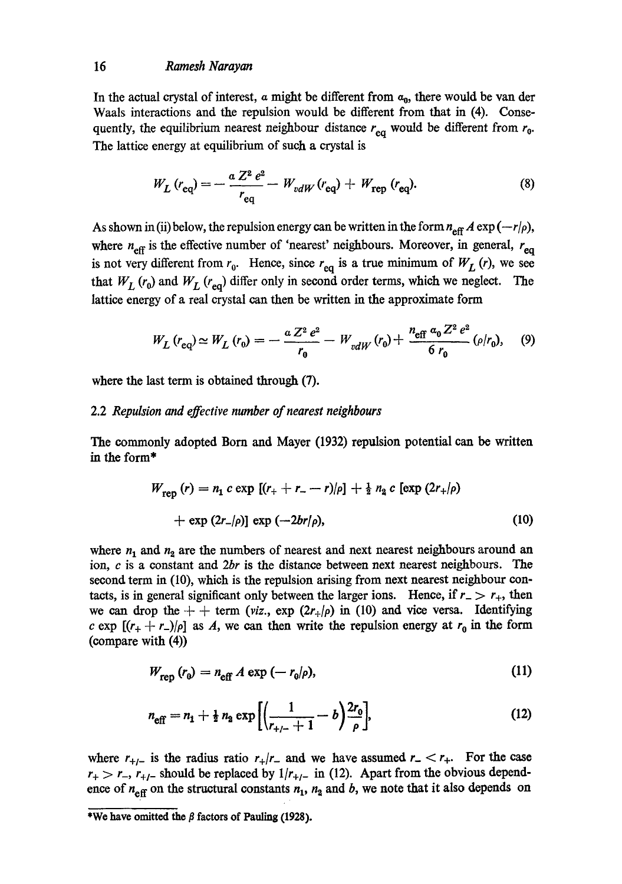## *16 Ramesh Narayan*

In the actual crystal of interest,  $\alpha$  might be different from  $\alpha_0$ , there would be van der Waals interactions and the repulsion would be different from that in (4). Consequently, the equilibrium nearest neighbour distance  $r_{eq}$  would be different from  $r_0$ . The lattice energy at equilibrium of such a crystal is

$$
W_L (r_{\text{eq}}) = -\frac{a Z^2 e^2}{r_{\text{eq}}} - W_{vdW} (r_{\text{eq}}) + W_{\text{rep}} (r_{\text{eq}}). \tag{8}
$$

As shown in (ii) below, the repulsion energy can be written in the form  $n_{\text{eff}} A \exp(-r/\rho)$ , where  $n_{\text{eff}}$  is the effective number of 'nearest' neighbours. Moreover, in general,  $r_{\text{eq}}$ is not very different from  $r_0$ . Hence, since  $r_{eq}$  is a true minimum of  $W_L(r)$ , we see that  $W_L$  ( $r_0$ ) and  $W_L$  ( $r_{eq}$ ) differ only in second order terms, which we neglect. The lattice energy of a real crystal can then be written in the approximate form

$$
W_L(r_{\text{eq}}) \simeq W_L(r_0) = -\frac{a Z^2 e^2}{r_0} - W_{vdW}(r_0) + \frac{n_{\text{eff}} a_0 Z^2 e^2}{6 r_0} (\rho/r_0), \quad (9)
$$

where the last term is obtained through (7).

## 2.2 *Repulsion and effective number of nearest neighbours*

The commonly adopted Born and Mayer (1932) repulsion potential can be written in the form\*

$$
W_{\text{rep}}(r) = n_1 c \exp [(r_+ + r_- - r)/\rho] + \frac{1}{2} n_2 c [\exp (2r_+/\rho) + \exp (2r_-/\rho)] \exp (-2br/\rho), \qquad (10)
$$

where  $n_1$  and  $n_2$  are the numbers of nearest and next nearest neighbours around an ion, e is a constant and *2br* is the distance between next nearest neighbours. The second term in (10), which is the repulsion arising from next nearest neighbour contacts, is in general significant only between the larger ions. Hence, if  $r_{-} > r_{+}$ , then we can drop the  $+$  + term *(viz., exp*  $(2r_{+}/\rho)$  *in (10)* and vice versa. Identifying c exp  $[(r_{+} + r_{-})/\rho]$  as A, we can then write the repulsion energy at  $r_0$  in the form (compare with (4))

$$
W_{\text{rep}}\left(r_0\right) = n_{\text{eff}} A \exp\left(-\,r_0/\rho\right),\tag{11}
$$

$$
n_{\text{eff}} = n_1 + \frac{1}{2} n_2 \exp\left[ \left( \frac{1}{r_{+/-} + 1} - b \right) \frac{2r_0}{\rho} \right],\tag{12}
$$

where  $r_{+/-}$  is the radius ratio  $r_{+}/r_{-}$  and we have assumed  $r_{-} < r_{+}$ . For the case  $r_{+} > r_{-}$ ,  $r_{+/-}$  should be replaced by  $1/r_{+/-}$  in (12). Apart from the obvious dependence of  $n_{\text{eff}}$  on the structural constants  $n_1$ ,  $n_2$  and b, we note that it also depends on

<sup>\*</sup>We have omitted the  $\beta$  factors of Pauling (1928).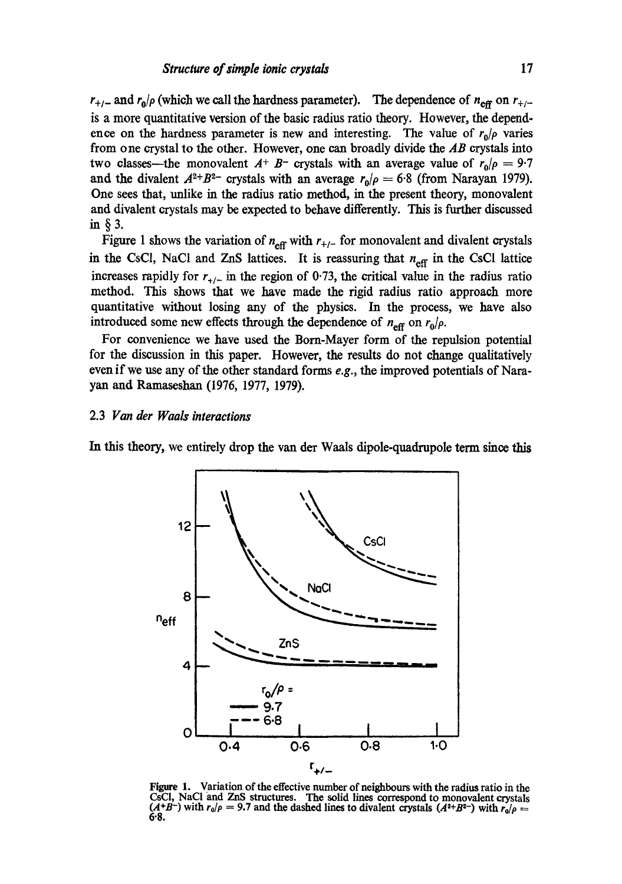$r_{+/-}$  and  $r_0/\rho$  (which we call the hardness parameter). The dependence of  $n_{\text{eff}}$  on  $r_{+/-}$ is a more quantitative version of the basic radius ratio theory. However, the dependence on the hardness parameter is new and interesting. The value of  $r_p/\rho$  varies from one crystal to the other. However, one can broadly divide the *AB* crystals into two classes—the monovalent  $A^+$  B- crystals with an average value of  $r_0/\rho = 9.7$ and the divalent  $A^{2+}B^{2-}$  crystals with an average  $r_0/\rho = 6.8$  (from Narayan 1979). One sees that, unlike in the radius ratio method, in the present theory, monovalent and divalent crystals may be expected to behave differently. This is further discussed in§3.

Figure 1 shows the variation of  $n_{\text{eff}}$  with  $r_{+/-}$  for monovalent and divalent crystals in the CsCl, NaCl and ZnS lattices. It is reassuring that  $n_{\text{eff}}$  in the CsCl lattice increases rapidly for  $r_{+/-}$  in the region of 0.73, the critical value in the radius ratio method. This shows that we have made the rigid radius ratio approach more quantitative without losing any of the physics. In the process, we have also introduced some new effects through the dependence of  $n_{\text{eff}}$  on  $r_0/\rho$ .

For convenience we have used the Born-Mayer form of the repulsion potential for the discussion in this paper. However, the results do not change qualitatively even if we use any of the other standard forms *e.g.,* the improved potentials of Narayam and Ramascshan (1976, 1977, 1979).

## 2.3 *Van der Waals interactions*

In this theory, we entirely drop the van der Waals dipole-quadrupole term since this



Figure 1. Variation of the effective number of neighbours with the radius ratio in the CsCI, NaCI and ZnS structures. The solid lines correspond to monovalent crystals  $(A+B^-)$  with  $r_0/\rho = 9.7$  and the dashed lines to divalent crystals  $(A^2+B^2)$  with  $r_0/\rho = 0$ 6'8.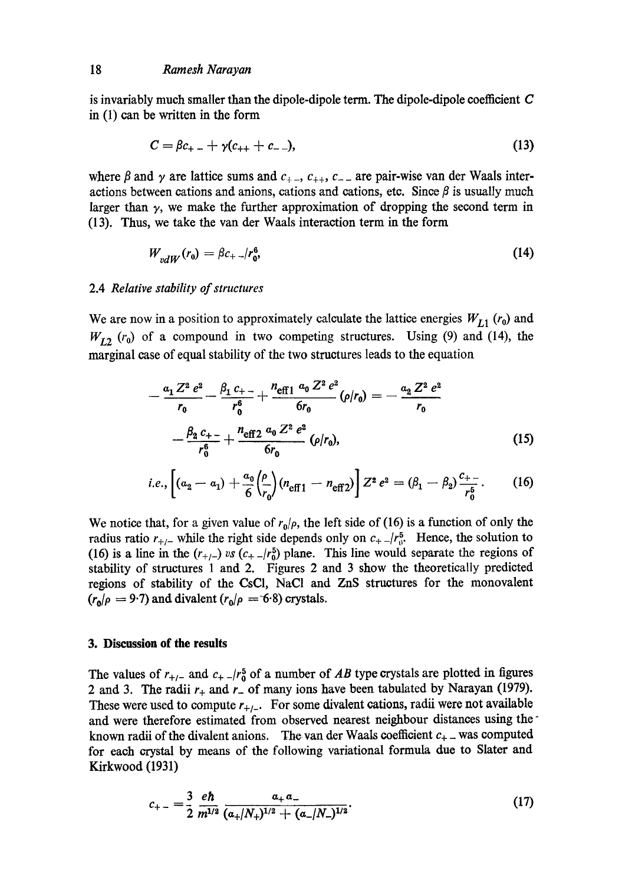#### 18 *Ramesh Narayan*

is invariably much smaller than the dipole-dipole term. The dipole-dipole coefficient C in (1) can be written in the form

$$
C = \beta c_{+} - \gamma (c_{++} + c_{--}), \tag{13}
$$

where  $\beta$  and  $\gamma$  are lattice sums and  $c_{++}$ ,  $c_{++}$ ,  $c_{--}$  are pair-wise van der Waals interactions between cations and anions, cations and cations, etc. Since  $\beta$  is usually much larger than  $\gamma$ , we make the further approximation of dropping the second term in (13). Thus, we take the van der Waals interaction term in the form

$$
W_{vdW}(r_0) = \beta c_{+-} / r_0^6 \tag{14}
$$

#### 2.4 *Relative stability of structures*

We are now in a position to approximately calculate the lattice energies  $W_{L1}$  ( $r_0$ ) and  $W_{L2}$  ( $r_0$ ) of a compound in two competing structures. Using (9) and (14), the marginal ease of equal stability of the two structures leads to the equation

$$
-\frac{a_1 Z^2 e^2}{r_0} - \frac{\beta_1 c_{+-}}{r_0^6} + \frac{n_{eff1} a_0 Z^2 e^2}{6r_0} (\rho/r_0) = -\frac{a_2 Z^2 e^2}{r_0}
$$

$$
-\frac{\beta_2 c_{+-}}{r_0^6} + \frac{n_{eff2} a_0 Z^2 e^2}{6r_0} (\rho/r_0), \qquad (15)
$$

i.e., 
$$
\left[ (a_2 - a_1) + \frac{a_0}{6} \left( \frac{\rho}{r_0} \right) (n_{\text{eff }1} - n_{\text{eff }2}) \right] Z^2 e^2 = (\beta_1 - \beta_2) \frac{c_{+-}}{r_0^5}.
$$
 (16)

We notice that, for a given value of  $r_0/\rho$ , the left side of (16) is a function of only the radius ratio  $r_{+/-}$  while the right side depends only on  $c_{+}/r_{0}^5$ . Hence, the solution to (16) is a line in the  $(r_{+/-})$  vs  $(c_{+}/r_0^5)$  plane. This line would separate the regions of stability of structures 1 and 2. Figures 2 and 3 show the theoretically predicted regions of stability of the CsCl, NaCI and ZnS structures for the monovalent  $(r_0/\rho = 9.7)$  and divalent  $(r_0/\rho = 6.8)$  crystals.

## **3. Discussion of the results**

The values of  $r_{+/-}$  and  $c_{+}/r_0^5$  of a number of *AB* type crystals are plotted in figures 2 and 3. The radii  $r_+$  and  $r_-$  of many ions have been tabulated by Narayan (1979). These were used to compute  $r_{+/-}$ . For some divalent cations, radii were not available and were therefore estimated from observed nearest neighbour distances using the known radii of the divalent anions. The van der Waals coefficient  $c_{+}$  was computed for each crystal by means of the following variational formula due to Slater and Kirkwood (1931)

$$
c_{+-} = \frac{3}{2} \frac{e\hbar}{m^{1/2}} \frac{a_+ a_-}{(a_+/N_+)^{1/2} + (a_-/N_-)^{1/2}}.
$$
 (17)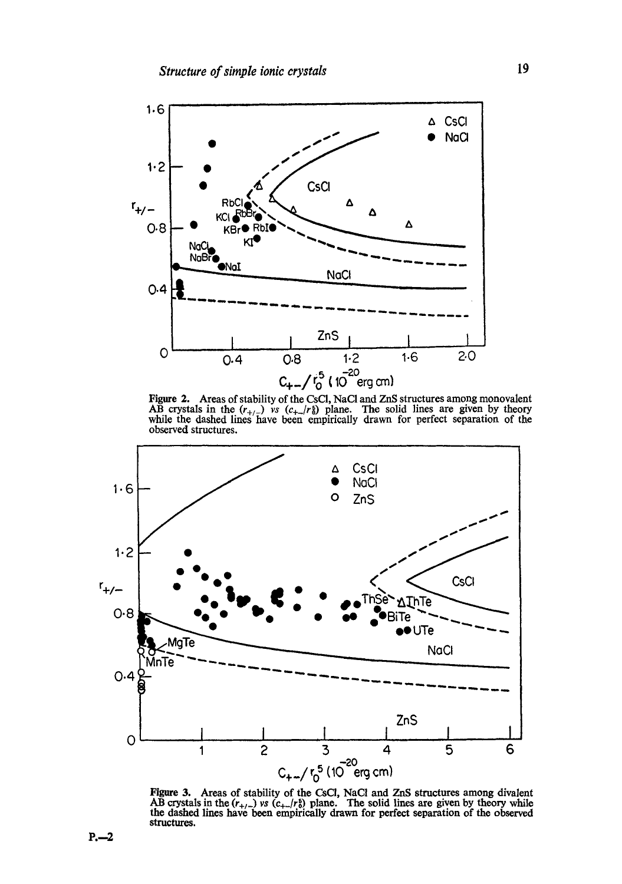

Figure 2. Areas of stability of the CsCl, NaCI and ZnS structures among monovalent AB crystals in the  $(r_{+/-})$  vs  $(c_{+}/r_{0})$  plane. The solid lines are given by theory while the dashed lines have been empirically drawn for perfect separation of the observed structures.



Figure 3. Areas of stability of the CsCI, NaCl and ZnS structures among divalent AB crystals in the  $(r_{+/-})$  *vs*  $(c_{+-}/r_0^5)$  plane. The solid lines are given by theory while the dashed lines have been empirically drawn for perfect separation or the observed structures.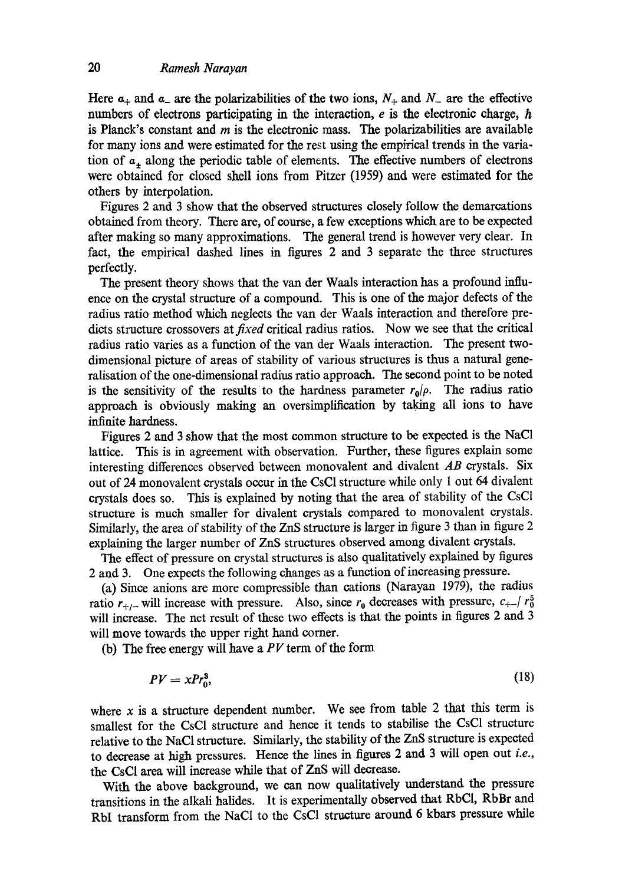Here  $a_+$  and  $a_-$  are the polarizabilities of the two ions,  $N_+$  and  $N_-$  are the effective numbers of electrons participating in the interaction,  $e$  is the electronic charge,  $\hbar$ is Planck's constant and  $m$  is the electronic mass. The polarizabilities are available for many ions and were estimated for the rest using the empirical trends in the variation of  $a_+$  along the periodic table of elements. The effective numbers of electrons were obtained for closed shell ions from Pitzer (1959) and were estimated for the others by interpolation.

Figures 2 and 3 show that the observed structures closely follow the demarcations obtained from theory. There are, of course, a few exceptions which are to be expected after making so many approximations. The general trend is however very clear. In fact, the empirical dashed lines in figures 2 and 3 separate the three structures perfectly.

The present theory shows that the van der Waals interaction has a profound influence on the crystal structure of a compound. This is one of the major defects of the radius ratio method which neglects the van der Waals interaction and therefore predicts structure crossovers *atfixed* critical radius ratios. Now we see that the critical radius ratio varies as a function of the van der Waals interaction. The present twodimensional picture of areas of stability of various structures is thus a natural generalisation of the one-dimensional radius ratio approach. The second point to be noted is the sensitivity of the results to the hardness parameter  $r_0/\rho$ . The radius ratio approach is obviously making an oversimplification by taking all ions to have infinite hardness.

Figures 2 and 3 show that the most common structure to be expected is the NaC1 lattice. This is in agreement with observation. Further, these figures explain some interesting differences observed between monovalent and divalent *AB* crystals. Six out of 24 monovalent crystals occur in the CsC1 structure while only 1 out 64 divalent crystals does so. This is explained by noting that the area of stability of the CsCI structure is much smaller for divalent crystals compared to monovalent crystals. Similarly, the area of stability of the ZnS structure is larger in figure 3 than in figure 2 explaining the larger number of ZnS structures observed among divalent crystals.

The effect of pressure on crystal structures is also qualitatively explained by figures 2 and 3. One expects the following changes as a function of increasing pressure.

(a) Since anions are more compressible than cations (Narayan 1979), the radius ratio  $r_{+/-}$  will increase with pressure. Also, since  $r_0$  decreases with pressure,  $c_{+-}/r_0^5$ will increase. The net result of these two effects is that the points in figures 2 and 3 will move towards the upper right hand corner.

(b) The free energy will have a  $PV$  term of the form

$$
PV = xPr_0^3,\tag{18}
$$

where  $x$  is a structure dependent number. We see from table 2 that this term is smallest for the CsC1 structure and hence it tends to stabilise the CsC1 structure relative to the NaCI structure. Similarly, the stability of the ZnS structure is expected to decrease at high pressures. Hence the lines in figures 2 and 3 will open out *i.e.,*  the CsC1 area will increase while that of ZnS will decrease.

With the above background, we can now qualitatively understand the pressure transitions in the alkali halides. It is experimentally observed that RbCI, RbBr and RbI transform from the NaCl to the CsCl structure around 6 kbars pressure while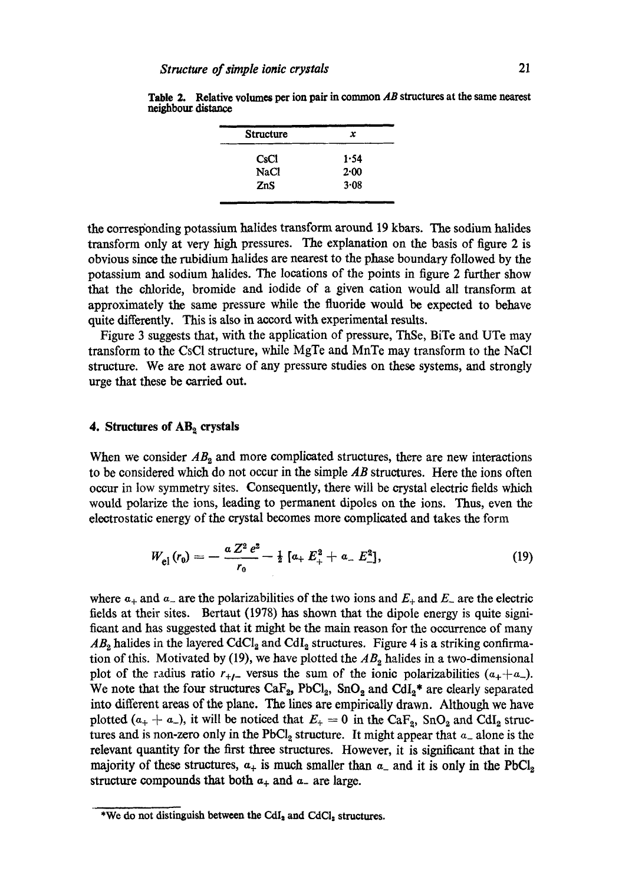| <b>Structure</b> | x    |  |
|------------------|------|--|
| CsC1             | 1.54 |  |
| <b>NaCl</b>      | 2.00 |  |
| ZnS              | 3.08 |  |

**Table 2. Relative volumes per ion pair in common** *AB* **structures at the same nearest**  neighbour distance

the corresponding potassium halides transform around 19 kbars. The sodium halides transform only at very high pressures. The explanation on the basis of figure 2 is obvious since the rubidium halides are nearest to the phase boundary followed by the potassium and sodium halides. The locations of the points in figure 2 further show that the chloride, bromide and iodide of a given cation would all transform at approximately the same pressure while the fluoride would be expected to behave quite differently. This is also in accord with experimental results.

Figure 3 suggests that, with the application of pressure, ThSe, BiTe and UTe may transform to the CsCI structure, while MgTe and MnTe may transform to the NaCI structure. We are not aware of any pressure studies on these systems, and strongly urge that these be carried out.

#### **4. Structures of AB**<sub>2</sub> crystals

When we consider  $AB_2$  and more complicated structures, there are new interactions to be considered which do not occur in the simple *AB* structures. Here the ions often occur in low symmetry sites. Consequently, there will be crystal electric fields which would polarize the ions, leading to permanent dipoles on the ions. Thus, even the electrostatic energy of the crystal becomes more complicated and takes the form

$$
W_{\rm el} (r_0) = -\frac{a Z^2 e^2}{r_0} - \frac{1}{2} \left[ a_+ E_+^2 + a_- E_-^2 \right], \qquad (19)
$$

where  $a_+$  and  $a_-$  are the polarizabilities of the two ions and  $E_+$  and  $E_-$  are the electric fields at their sites. Bertaut (1978) has shown that the dipole energy is quite significant and has suggested that it might be the main reason for the occurrence of many  $AB_2$  halides in the layered CdCl<sub>2</sub> and CdI<sub>2</sub> structures. Figure 4 is a striking confirmation of this. Motivated by (19), we have plotted the  $AB_2$  halides in a two-dimensional plot of the radius ratio  $r_{+/-}$  versus the sum of the ionic polarizabilities  $(a_{+}+a_{-})$ . We note that the four structures  $CaF_{2}$ , PbCl<sub>2</sub>, SnO<sub>2</sub> and CdI<sub>2</sub><sup>\*</sup> are clearly separated into different areas of the plane. The lines are empirically drawn. Although we have plotted  $(a_+ + a_-)$ , it will be noticed that  $E_+ = 0$  in the CaF<sub>2</sub>, SnO<sub>2</sub> and CdI<sub>2</sub> structures and is non-zero only in the PbCl<sub>2</sub> structure. It might appear that  $a_{-}$  alone is the relevant quantity for the first three structures. However, it is significant that in the majority of these structures,  $a_+$  is much smaller than  $a_-$  and it is only in the PbCl<sub>2</sub>. structure compounds that both  $a_+$  and  $a_-$  are large.

<sup>\*</sup>We do not distinguish between the CdI<sub>2</sub> and CdCl<sub>z</sub> structures.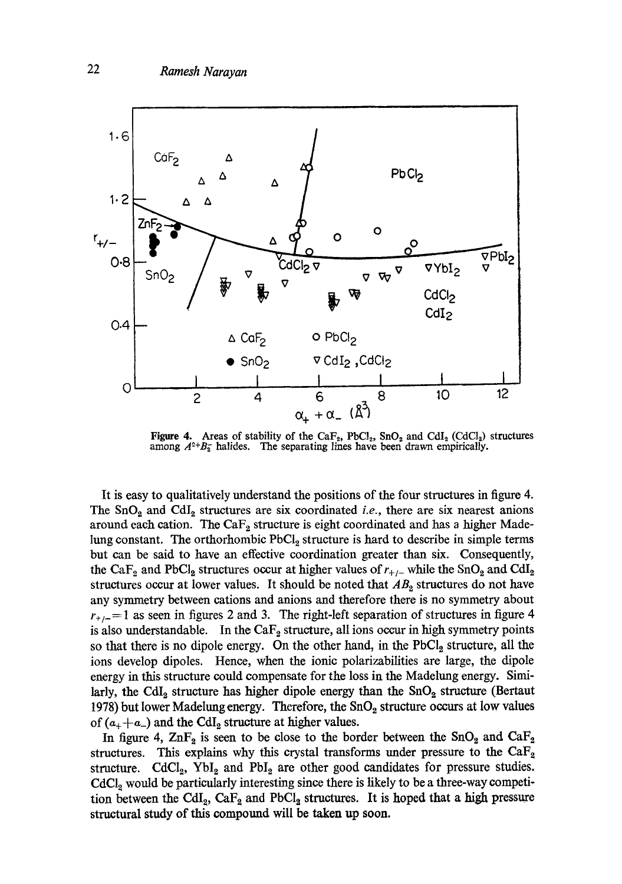

**Figure 4.** Areas of stability of the CaF<sub>2</sub>, PbCl<sub>2</sub>, SnO<sub>2</sub> and CdI<sub>2</sub> (CdCl<sub>2</sub>) structures among  $A^{2+}B_2^-$  halides. The separating lines have been drawn empirically.

It is easy to qualitatively understand the positions of the four structures in figure 4. The  $SnO<sub>2</sub>$  and  $CdI<sub>2</sub>$  structures are six coordinated *i.e.*, there are six nearest anions around each cation. The  $CaF<sub>2</sub>$  structure is eight coordinated and has a higher Madelung constant. The orthorhombic  $PbCl<sub>2</sub>$  structure is hard to describe in simple terms but can be said to have an effective coordination greater than six. Consequently, the CaF<sub>2</sub> and PbCl<sub>2</sub> structures occur at higher values of  $r_{+/-}$  while the SnO<sub>2</sub> and CdI<sub>2</sub> structures occur at lower values. It should be noted that  $AB<sub>2</sub>$  structures do not have any symmetry between cations and anions and therefore there is no symmetry about  $r_{+/-}$ =1 as seen in figures 2 and 3. The right-left separation of structures in figure 4 is also understandable. In the  $CaF<sub>2</sub>$  structure, all ions occur in high symmetry points so that there is no dipole energy. On the other hand, in the  $PbCl<sub>2</sub>$  structure, all the ions develop dipoles. Hence, when the ionic polarizabilities are large, the dipole energy in this structure could compensate for the loss in the Madelung energy. Similarly, the CdI<sub>2</sub> structure has higher dipole energy than the  $SnO<sub>2</sub>$  structure (Bertaut 1978) but lower Madelung energy. Therefore, the  $SnO<sub>2</sub>$  structure occurs at low values of  $(a_+ + a_-)$  and the CdI<sub>2</sub> structure at higher values.

In figure 4,  $\text{ZnF}_2$  is seen to be close to the border between the  $\text{SnO}_2$  and  $\text{CaF}_2$ structures. This explains why this crystal transforms under pressure to the  $CaF<sub>2</sub>$ structure.  $\text{CdCl}_2$ ,  $\text{YbI}_2$  and  $\text{PbI}_2$  are other good candidates for pressure studies.  $\text{CdCl}_2$  would be particularly interesting since there is likely to be a three-way competition between the CdI<sub>2</sub>, CaF<sub>2</sub> and PbCl<sub>2</sub> structures. It is hoped that a high pressure structural study of this compound will be taken up soon.